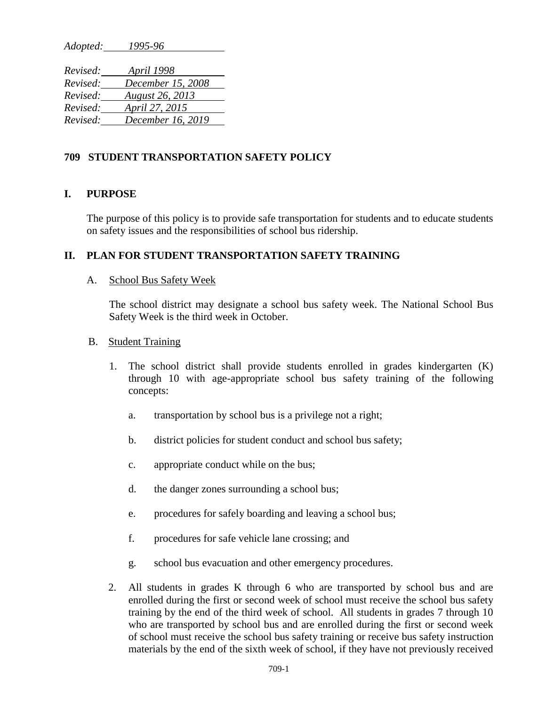*Adopted: 1995-96*

| Revised: | <i>April 1998</i>      |
|----------|------------------------|
| Revised: | December 15, 2008      |
| Revised: | <b>August 26, 2013</b> |
| Revised: | April 27, 2015         |
| Revised: | December 16, 2019      |

### **709 STUDENT TRANSPORTATION SAFETY POLICY**

#### **I. PURPOSE**

The purpose of this policy is to provide safe transportation for students and to educate students on safety issues and the responsibilities of school bus ridership.

#### **II. PLAN FOR STUDENT TRANSPORTATION SAFETY TRAINING**

#### A. School Bus Safety Week

The school district may designate a school bus safety week. The National School Bus Safety Week is the third week in October.

#### B. Student Training

- 1. The school district shall provide students enrolled in grades kindergarten (K) through 10 with age-appropriate school bus safety training of the following concepts:
	- a. transportation by school bus is a privilege not a right;
	- b. district policies for student conduct and school bus safety;
	- c. appropriate conduct while on the bus;
	- d. the danger zones surrounding a school bus;
	- e. procedures for safely boarding and leaving a school bus;
	- f. procedures for safe vehicle lane crossing; and
	- g. school bus evacuation and other emergency procedures.
- 2. All students in grades K through 6 who are transported by school bus and are enrolled during the first or second week of school must receive the school bus safety training by the end of the third week of school. All students in grades 7 through 10 who are transported by school bus and are enrolled during the first or second week of school must receive the school bus safety training or receive bus safety instruction materials by the end of the sixth week of school, if they have not previously received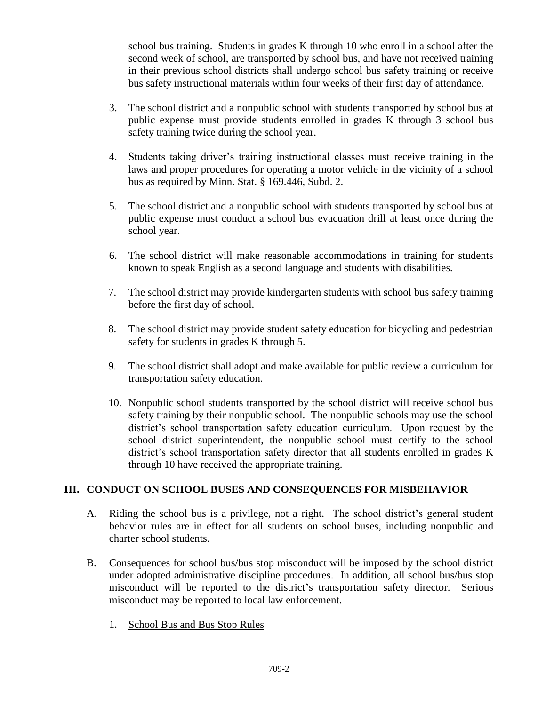school bus training. Students in grades K through 10 who enroll in a school after the second week of school, are transported by school bus, and have not received training in their previous school districts shall undergo school bus safety training or receive bus safety instructional materials within four weeks of their first day of attendance.

- 3. The school district and a nonpublic school with students transported by school bus at public expense must provide students enrolled in grades K through 3 school bus safety training twice during the school year.
- 4. Students taking driver's training instructional classes must receive training in the laws and proper procedures for operating a motor vehicle in the vicinity of a school bus as required by Minn. Stat. § 169.446, Subd. 2.
- 5. The school district and a nonpublic school with students transported by school bus at public expense must conduct a school bus evacuation drill at least once during the school year.
- 6. The school district will make reasonable accommodations in training for students known to speak English as a second language and students with disabilities.
- 7. The school district may provide kindergarten students with school bus safety training before the first day of school.
- 8. The school district may provide student safety education for bicycling and pedestrian safety for students in grades K through 5.
- 9. The school district shall adopt and make available for public review a curriculum for transportation safety education.
- 10. Nonpublic school students transported by the school district will receive school bus safety training by their nonpublic school. The nonpublic schools may use the school district's school transportation safety education curriculum. Upon request by the school district superintendent, the nonpublic school must certify to the school district's school transportation safety director that all students enrolled in grades K through 10 have received the appropriate training.

## **III. CONDUCT ON SCHOOL BUSES AND CONSEQUENCES FOR MISBEHAVIOR**

- A. Riding the school bus is a privilege, not a right. The school district's general student behavior rules are in effect for all students on school buses, including nonpublic and charter school students.
- B. Consequences for school bus/bus stop misconduct will be imposed by the school district under adopted administrative discipline procedures. In addition, all school bus/bus stop misconduct will be reported to the district's transportation safety director. Serious misconduct may be reported to local law enforcement.
	- 1. School Bus and Bus Stop Rules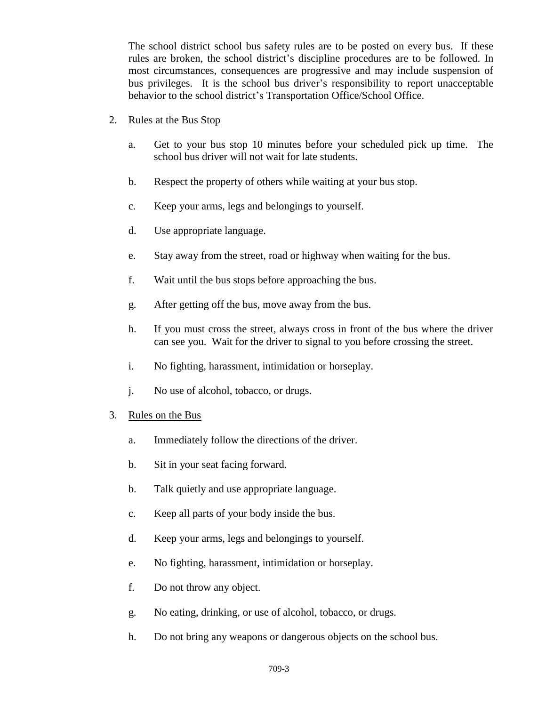The school district school bus safety rules are to be posted on every bus. If these rules are broken, the school district's discipline procedures are to be followed. In most circumstances, consequences are progressive and may include suspension of bus privileges. It is the school bus driver's responsibility to report unacceptable behavior to the school district's Transportation Office/School Office.

- 2. Rules at the Bus Stop
	- a. Get to your bus stop 10 minutes before your scheduled pick up time. The school bus driver will not wait for late students.
	- b. Respect the property of others while waiting at your bus stop.
	- c. Keep your arms, legs and belongings to yourself.
	- d. Use appropriate language.
	- e. Stay away from the street, road or highway when waiting for the bus.
	- f. Wait until the bus stops before approaching the bus.
	- g. After getting off the bus, move away from the bus.
	- h. If you must cross the street, always cross in front of the bus where the driver can see you. Wait for the driver to signal to you before crossing the street.
	- i. No fighting, harassment, intimidation or horseplay.
	- j. No use of alcohol, tobacco, or drugs.
- 3. Rules on the Bus
	- a. Immediately follow the directions of the driver.
	- b. Sit in your seat facing forward.
	- b. Talk quietly and use appropriate language.
	- c. Keep all parts of your body inside the bus.
	- d. Keep your arms, legs and belongings to yourself.
	- e. No fighting, harassment, intimidation or horseplay.
	- f. Do not throw any object.
	- g. No eating, drinking, or use of alcohol, tobacco, or drugs.
	- h. Do not bring any weapons or dangerous objects on the school bus.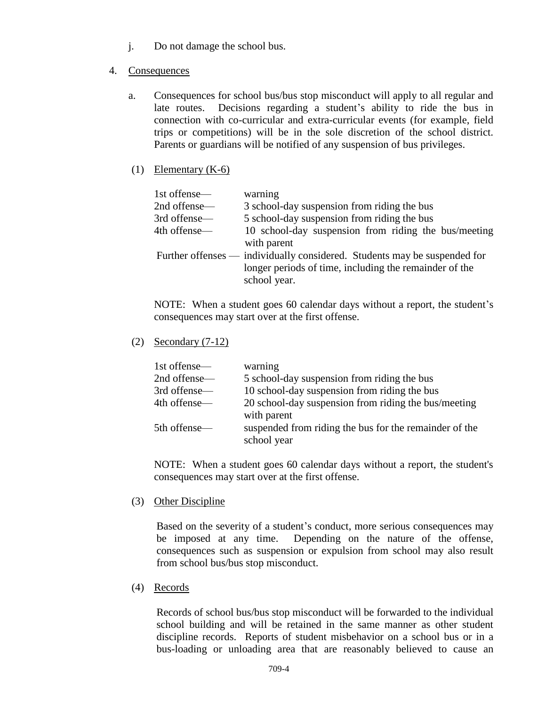- j. Do not damage the school bus.
- 4. Consequences
	- a. Consequences for school bus/bus stop misconduct will apply to all regular and late routes. Decisions regarding a student's ability to ride the bus in connection with co-curricular and extra-curricular events (for example, field trips or competitions) will be in the sole discretion of the school district. Parents or guardians will be notified of any suspension of bus privileges.
	- (1) Elementary (K-6)

| 1st offense— | warning                                                                                                                             |
|--------------|-------------------------------------------------------------------------------------------------------------------------------------|
| 2nd offense— | 3 school-day suspension from riding the bus                                                                                         |
| 3rd offense— | 5 school-day suspension from riding the bus                                                                                         |
| 4th offense— | 10 school-day suspension from riding the bus/meeting                                                                                |
|              | with parent                                                                                                                         |
|              | Further offenses — individually considered. Students may be suspended for<br>longer periods of time, including the remainder of the |
|              | school year.                                                                                                                        |

NOTE: When a student goes 60 calendar days without a report, the student's consequences may start over at the first offense.

(2) Secondary (7-12)

| 1st offense— | warning                                                |
|--------------|--------------------------------------------------------|
| 2nd offense— | 5 school-day suspension from riding the bus            |
| 3rd offense— | 10 school-day suspension from riding the bus           |
| 4th offense— | 20 school-day suspension from riding the bus/meeting   |
|              | with parent                                            |
| 5th offense— | suspended from riding the bus for the remainder of the |
|              | school year                                            |

NOTE: When a student goes 60 calendar days without a report, the student's consequences may start over at the first offense.

(3) Other Discipline

Based on the severity of a student's conduct, more serious consequences may be imposed at any time. Depending on the nature of the offense, consequences such as suspension or expulsion from school may also result from school bus/bus stop misconduct.

(4) Records

Records of school bus/bus stop misconduct will be forwarded to the individual school building and will be retained in the same manner as other student discipline records. Reports of student misbehavior on a school bus or in a bus-loading or unloading area that are reasonably believed to cause an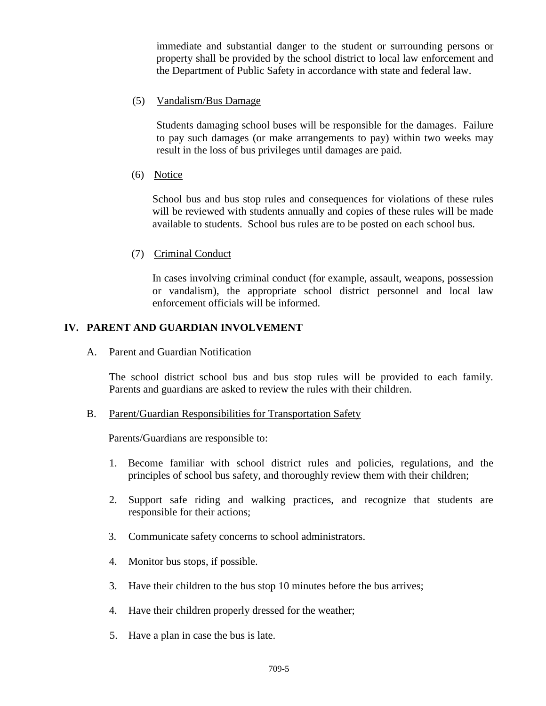immediate and substantial danger to the student or surrounding persons or property shall be provided by the school district to local law enforcement and the Department of Public Safety in accordance with state and federal law.

### (5) Vandalism/Bus Damage

Students damaging school buses will be responsible for the damages. Failure to pay such damages (or make arrangements to pay) within two weeks may result in the loss of bus privileges until damages are paid.

(6) Notice

School bus and bus stop rules and consequences for violations of these rules will be reviewed with students annually and copies of these rules will be made available to students. School bus rules are to be posted on each school bus.

(7) Criminal Conduct

In cases involving criminal conduct (for example, assault, weapons, possession or vandalism), the appropriate school district personnel and local law enforcement officials will be informed.

## **IV. PARENT AND GUARDIAN INVOLVEMENT**

A. Parent and Guardian Notification

The school district school bus and bus stop rules will be provided to each family. Parents and guardians are asked to review the rules with their children.

#### B. Parent/Guardian Responsibilities for Transportation Safety

Parents/Guardians are responsible to:

- 1. Become familiar with school district rules and policies, regulations, and the principles of school bus safety, and thoroughly review them with their children;
- 2. Support safe riding and walking practices, and recognize that students are responsible for their actions;
- 3. Communicate safety concerns to school administrators.
- 4. Monitor bus stops, if possible.
- 3. Have their children to the bus stop 10 minutes before the bus arrives;
- 4. Have their children properly dressed for the weather;
- 5. Have a plan in case the bus is late.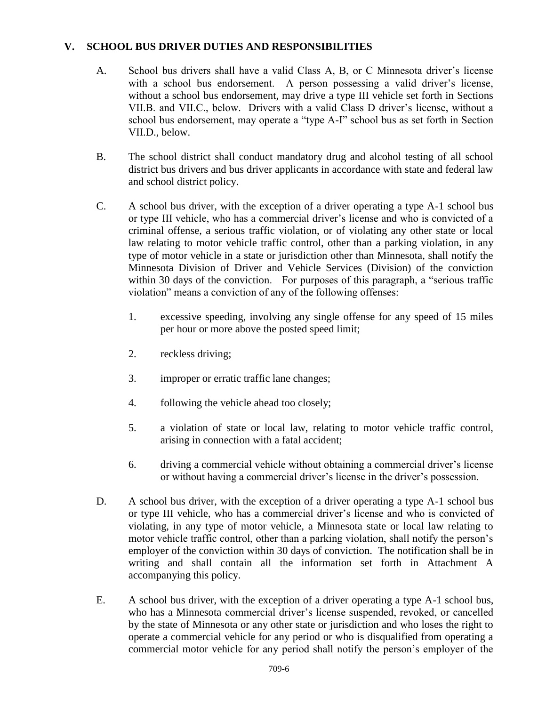## **V. SCHOOL BUS DRIVER DUTIES AND RESPONSIBILITIES**

- A. School bus drivers shall have a valid Class A, B, or C Minnesota driver's license with a school bus endorsement. A person possessing a valid driver's license, without a school bus endorsement, may drive a type III vehicle set forth in Sections VII.B. and VII.C., below. Drivers with a valid Class D driver's license, without a school bus endorsement, may operate a "type A-I" school bus as set forth in Section VII.D., below.
- B. The school district shall conduct mandatory drug and alcohol testing of all school district bus drivers and bus driver applicants in accordance with state and federal law and school district policy.
- C. A school bus driver, with the exception of a driver operating a type A-1 school bus or type III vehicle, who has a commercial driver's license and who is convicted of a criminal offense, a serious traffic violation, or of violating any other state or local law relating to motor vehicle traffic control, other than a parking violation, in any type of motor vehicle in a state or jurisdiction other than Minnesota, shall notify the Minnesota Division of Driver and Vehicle Services (Division) of the conviction within 30 days of the conviction. For purposes of this paragraph, a "serious traffic violation" means a conviction of any of the following offenses:
	- 1. excessive speeding, involving any single offense for any speed of 15 miles per hour or more above the posted speed limit;
	- 2. reckless driving;
	- 3. improper or erratic traffic lane changes;
	- 4. following the vehicle ahead too closely;
	- 5. a violation of state or local law, relating to motor vehicle traffic control, arising in connection with a fatal accident;
	- 6. driving a commercial vehicle without obtaining a commercial driver's license or without having a commercial driver's license in the driver's possession.
- D. A school bus driver, with the exception of a driver operating a type A-1 school bus or type III vehicle, who has a commercial driver's license and who is convicted of violating, in any type of motor vehicle, a Minnesota state or local law relating to motor vehicle traffic control, other than a parking violation, shall notify the person's employer of the conviction within 30 days of conviction. The notification shall be in writing and shall contain all the information set forth in Attachment A accompanying this policy.
- E. A school bus driver, with the exception of a driver operating a type A-1 school bus, who has a Minnesota commercial driver's license suspended, revoked, or cancelled by the state of Minnesota or any other state or jurisdiction and who loses the right to operate a commercial vehicle for any period or who is disqualified from operating a commercial motor vehicle for any period shall notify the person's employer of the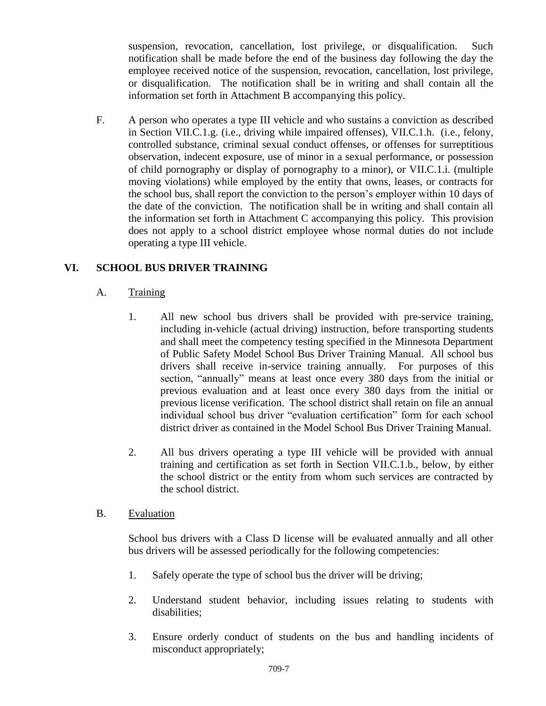suspension, revocation, cancellation, lost privilege, or disqualification. Such notification shall be made before the end of the business day following the day the employee received notice of the suspension, revocation, cancellation, lost privilege, or disqualification. The notification shall be in writing and shall contain all the information set forth in Attachment B accompanying this policy.

F. A person who operates a type III vehicle and who sustains a conviction as described in Section VII.C.1.g. (i.e., driving while impaired offenses), VII.C.1.h. (i.e., felony, controlled substance, criminal sexual conduct offenses, or offenses for surreptitious observation, indecent exposure, use of minor in a sexual performance, or possession of child pornography or display of pornography to a minor), or VII.C.1.i. (multiple moving violations) while employed by the entity that owns, leases, or contracts for the school bus, shall report the conviction to the person's employer within 10 days of the date of the conviction. The notification shall be in writing and shall contain all the information set forth in Attachment C accompanying this policy. This provision does not apply to a school district employee whose normal duties do not include operating a type III vehicle.

# **VI. SCHOOL BUS DRIVER TRAINING**

- A. Training
	- 1. All new school bus drivers shall be provided with pre-service training, including in-vehicle (actual driving) instruction, before transporting students and shall meet the competency testing specified in the Minnesota Department of Public Safety Model School Bus Driver Training Manual. All school bus drivers shall receive in-service training annually. For purposes of this section, "annually" means at least once every 380 days from the initial or previous evaluation and at least once every 380 days from the initial or previous license verification. The school district shall retain on file an annual individual school bus driver "evaluation certification" form for each school district driver as contained in the Model School Bus Driver Training Manual.
	- 2. All bus drivers operating a type III vehicle will be provided with annual training and certification as set forth in Section VII.C.1.b., below, by either the school district or the entity from whom such services are contracted by the school district.
- B. Evaluation

School bus drivers with a Class D license will be evaluated annually and all other bus drivers will be assessed periodically for the following competencies:

- 1. Safely operate the type of school bus the driver will be driving;
- 2. Understand student behavior, including issues relating to students with disabilities;
- 3. Ensure orderly conduct of students on the bus and handling incidents of misconduct appropriately;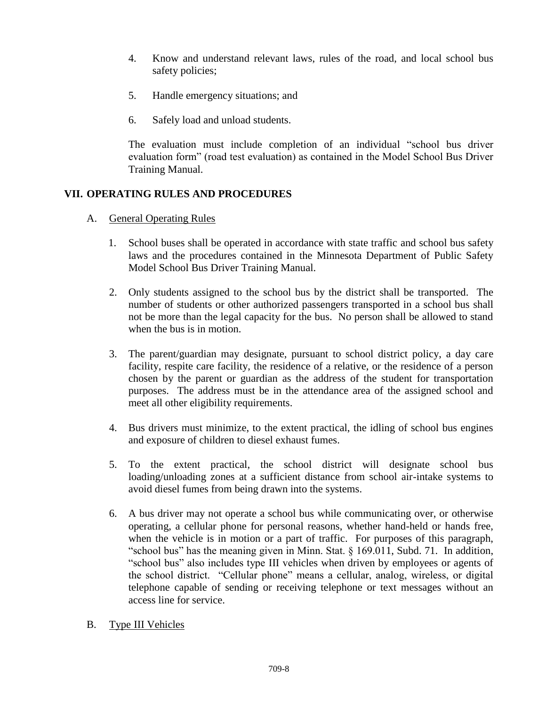- 4. Know and understand relevant laws, rules of the road, and local school bus safety policies;
- 5. Handle emergency situations; and
- 6. Safely load and unload students.

The evaluation must include completion of an individual "school bus driver evaluation form" (road test evaluation) as contained in the Model School Bus Driver Training Manual.

# **VII. OPERATING RULES AND PROCEDURES**

- A. General Operating Rules
	- 1. School buses shall be operated in accordance with state traffic and school bus safety laws and the procedures contained in the Minnesota Department of Public Safety Model School Bus Driver Training Manual.
	- 2. Only students assigned to the school bus by the district shall be transported. The number of students or other authorized passengers transported in a school bus shall not be more than the legal capacity for the bus. No person shall be allowed to stand when the bus is in motion.
	- 3. The parent/guardian may designate, pursuant to school district policy, a day care facility, respite care facility, the residence of a relative, or the residence of a person chosen by the parent or guardian as the address of the student for transportation purposes. The address must be in the attendance area of the assigned school and meet all other eligibility requirements.
	- 4. Bus drivers must minimize, to the extent practical, the idling of school bus engines and exposure of children to diesel exhaust fumes.
	- 5. To the extent practical, the school district will designate school bus loading/unloading zones at a sufficient distance from school air-intake systems to avoid diesel fumes from being drawn into the systems.
	- 6. A bus driver may not operate a school bus while communicating over, or otherwise operating, a cellular phone for personal reasons, whether hand-held or hands free, when the vehicle is in motion or a part of traffic. For purposes of this paragraph, "school bus" has the meaning given in Minn. Stat. § 169.011, Subd. 71. In addition, "school bus" also includes type III vehicles when driven by employees or agents of the school district. "Cellular phone" means a cellular, analog, wireless, or digital telephone capable of sending or receiving telephone or text messages without an access line for service.
- B. Type III Vehicles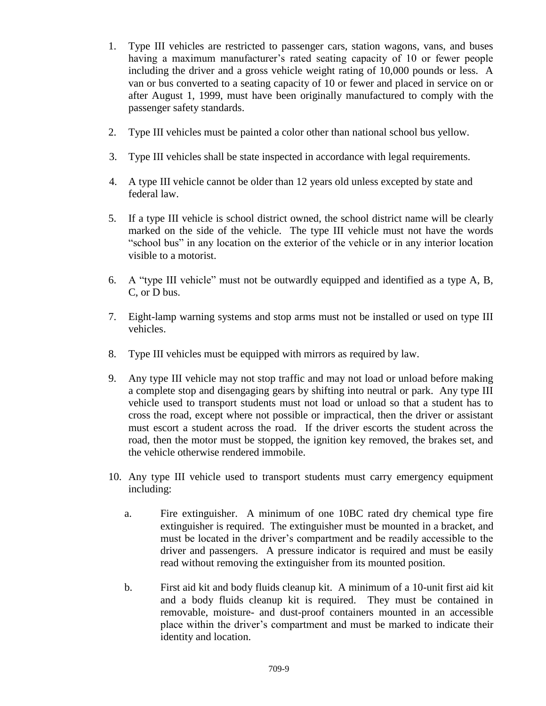- 1. Type III vehicles are restricted to passenger cars, station wagons, vans, and buses having a maximum manufacturer's rated seating capacity of 10 or fewer people including the driver and a gross vehicle weight rating of 10,000 pounds or less. A van or bus converted to a seating capacity of 10 or fewer and placed in service on or after August 1, 1999, must have been originally manufactured to comply with the passenger safety standards.
- 2. Type III vehicles must be painted a color other than national school bus yellow.
- 3. Type III vehicles shall be state inspected in accordance with legal requirements.
- 4. A type III vehicle cannot be older than 12 years old unless excepted by state and federal law.
- 5. If a type III vehicle is school district owned, the school district name will be clearly marked on the side of the vehicle. The type III vehicle must not have the words "school bus" in any location on the exterior of the vehicle or in any interior location visible to a motorist.
- 6. A "type III vehicle" must not be outwardly equipped and identified as a type A, B, C, or D bus.
- 7. Eight-lamp warning systems and stop arms must not be installed or used on type III vehicles.
- 8. Type III vehicles must be equipped with mirrors as required by law.
- 9. Any type III vehicle may not stop traffic and may not load or unload before making a complete stop and disengaging gears by shifting into neutral or park. Any type III vehicle used to transport students must not load or unload so that a student has to cross the road, except where not possible or impractical, then the driver or assistant must escort a student across the road. If the driver escorts the student across the road, then the motor must be stopped, the ignition key removed, the brakes set, and the vehicle otherwise rendered immobile.
- 10. Any type III vehicle used to transport students must carry emergency equipment including:
	- a. Fire extinguisher. A minimum of one 10BC rated dry chemical type fire extinguisher is required. The extinguisher must be mounted in a bracket, and must be located in the driver's compartment and be readily accessible to the driver and passengers. A pressure indicator is required and must be easily read without removing the extinguisher from its mounted position.
	- b. First aid kit and body fluids cleanup kit. A minimum of a 10-unit first aid kit and a body fluids cleanup kit is required. They must be contained in removable, moisture- and dust-proof containers mounted in an accessible place within the driver's compartment and must be marked to indicate their identity and location.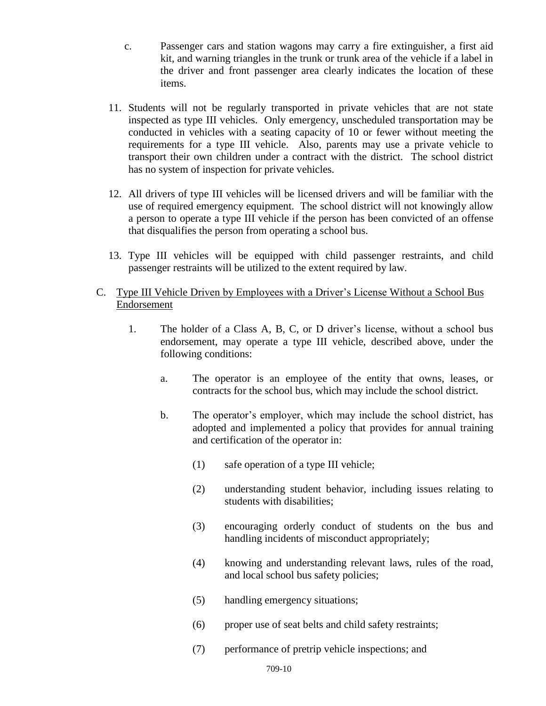- c. Passenger cars and station wagons may carry a fire extinguisher, a first aid kit, and warning triangles in the trunk or trunk area of the vehicle if a label in the driver and front passenger area clearly indicates the location of these items.
- 11. Students will not be regularly transported in private vehicles that are not state inspected as type III vehicles. Only emergency, unscheduled transportation may be conducted in vehicles with a seating capacity of 10 or fewer without meeting the requirements for a type III vehicle. Also, parents may use a private vehicle to transport their own children under a contract with the district. The school district has no system of inspection for private vehicles.
- 12. All drivers of type III vehicles will be licensed drivers and will be familiar with the use of required emergency equipment. The school district will not knowingly allow a person to operate a type III vehicle if the person has been convicted of an offense that disqualifies the person from operating a school bus.
- 13. Type III vehicles will be equipped with child passenger restraints, and child passenger restraints will be utilized to the extent required by law.
- C. Type III Vehicle Driven by Employees with a Driver's License Without a School Bus Endorsement
	- 1. The holder of a Class A, B, C, or D driver's license, without a school bus endorsement, may operate a type III vehicle, described above, under the following conditions:
		- a. The operator is an employee of the entity that owns, leases, or contracts for the school bus, which may include the school district.
		- b. The operator's employer, which may include the school district, has adopted and implemented a policy that provides for annual training and certification of the operator in:
			- (1) safe operation of a type III vehicle;
			- (2) understanding student behavior, including issues relating to students with disabilities;
			- (3) encouraging orderly conduct of students on the bus and handling incidents of misconduct appropriately;
			- (4) knowing and understanding relevant laws, rules of the road, and local school bus safety policies;
			- (5) handling emergency situations;
			- (6) proper use of seat belts and child safety restraints;
			- (7) performance of pretrip vehicle inspections; and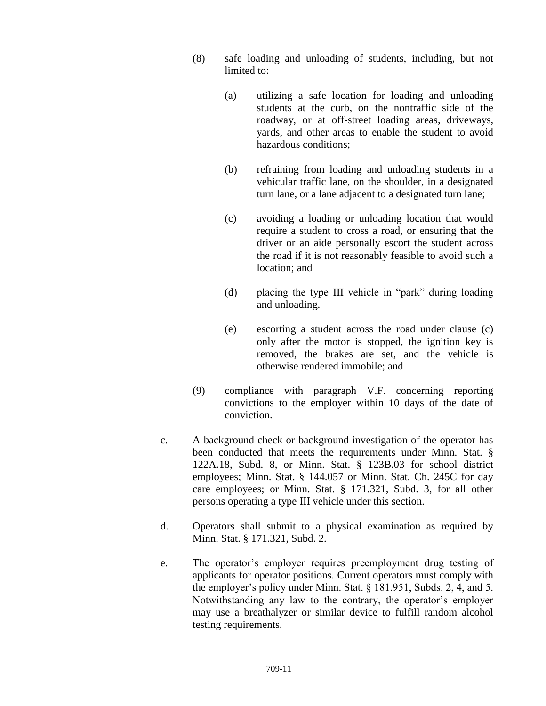- (8) safe loading and unloading of students, including, but not limited to:
	- (a) utilizing a safe location for loading and unloading students at the curb, on the nontraffic side of the roadway, or at off-street loading areas, driveways, yards, and other areas to enable the student to avoid hazardous conditions;
	- (b) refraining from loading and unloading students in a vehicular traffic lane, on the shoulder, in a designated turn lane, or a lane adjacent to a designated turn lane;
	- (c) avoiding a loading or unloading location that would require a student to cross a road, or ensuring that the driver or an aide personally escort the student across the road if it is not reasonably feasible to avoid such a location; and
	- (d) placing the type III vehicle in "park" during loading and unloading.
	- (e) escorting a student across the road under clause (c) only after the motor is stopped, the ignition key is removed, the brakes are set, and the vehicle is otherwise rendered immobile; and
- (9) compliance with paragraph V.F. concerning reporting convictions to the employer within 10 days of the date of conviction.
- c. A background check or background investigation of the operator has been conducted that meets the requirements under Minn. Stat. § 122A.18, Subd. 8, or Minn. Stat. § 123B.03 for school district employees; Minn. Stat. § 144.057 or Minn. Stat. Ch. 245C for day care employees; or Minn. Stat. § 171.321, Subd. 3, for all other persons operating a type III vehicle under this section.
- d. Operators shall submit to a physical examination as required by Minn. Stat. § 171.321, Subd. 2.
- e. The operator's employer requires preemployment drug testing of applicants for operator positions. Current operators must comply with the employer's policy under Minn. Stat. § 181.951, Subds. 2, 4, and 5. Notwithstanding any law to the contrary, the operator's employer may use a breathalyzer or similar device to fulfill random alcohol testing requirements.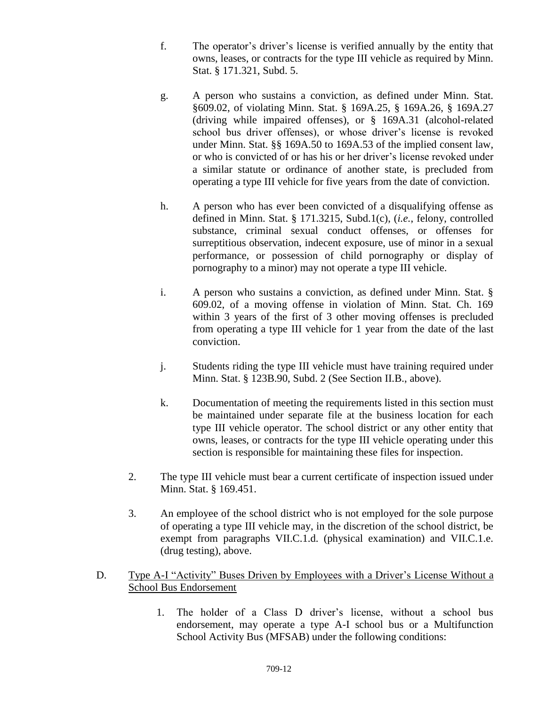- f. The operator's driver's license is verified annually by the entity that owns, leases, or contracts for the type III vehicle as required by Minn. Stat. § 171.321, Subd. 5.
- g. A person who sustains a conviction, as defined under Minn. Stat. §609.02, of violating Minn. Stat. § 169A.25, § 169A.26, § 169A.27 (driving while impaired offenses), or § 169A.31 (alcohol-related school bus driver offenses), or whose driver's license is revoked under Minn. Stat. §§ 169A.50 to 169A.53 of the implied consent law, or who is convicted of or has his or her driver's license revoked under a similar statute or ordinance of another state, is precluded from operating a type III vehicle for five years from the date of conviction.
- h. A person who has ever been convicted of a disqualifying offense as defined in Minn. Stat. § 171.3215, Subd.1(c), (*i.e.*, felony, controlled substance, criminal sexual conduct offenses, or offenses for surreptitious observation, indecent exposure, use of minor in a sexual performance, or possession of child pornography or display of pornography to a minor) may not operate a type III vehicle.
- i. A person who sustains a conviction, as defined under Minn. Stat. § 609.02, of a moving offense in violation of Minn. Stat. Ch. 169 within 3 years of the first of 3 other moving offenses is precluded from operating a type III vehicle for 1 year from the date of the last conviction.
- j. Students riding the type III vehicle must have training required under Minn. Stat. § 123B.90, Subd. 2 (See Section II.B., above).
- k. Documentation of meeting the requirements listed in this section must be maintained under separate file at the business location for each type III vehicle operator. The school district or any other entity that owns, leases, or contracts for the type III vehicle operating under this section is responsible for maintaining these files for inspection.
- 2. The type III vehicle must bear a current certificate of inspection issued under Minn. Stat. § 169.451.
- 3. An employee of the school district who is not employed for the sole purpose of operating a type III vehicle may, in the discretion of the school district, be exempt from paragraphs VII.C.1.d. (physical examination) and VII.C.1.e. (drug testing), above.
- D. Type A-I "Activity" Buses Driven by Employees with a Driver's License Without a School Bus Endorsement
	- 1. The holder of a Class D driver's license, without a school bus endorsement, may operate a type A-I school bus or a Multifunction School Activity Bus (MFSAB) under the following conditions: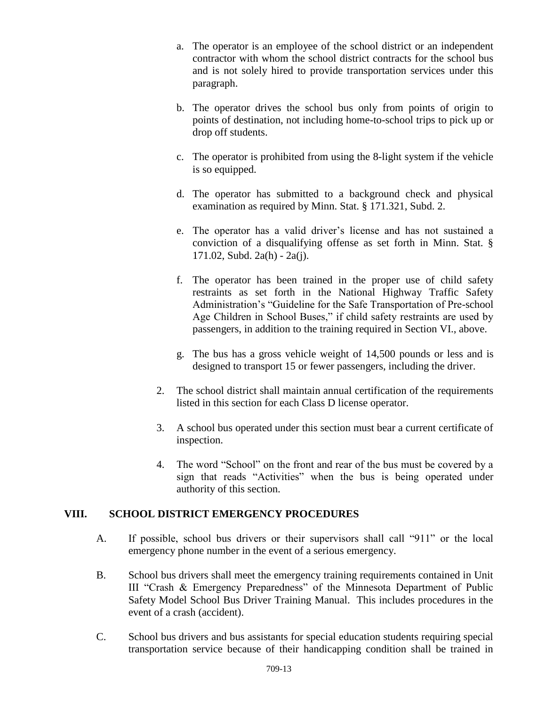- a. The operator is an employee of the school district or an independent contractor with whom the school district contracts for the school bus and is not solely hired to provide transportation services under this paragraph.
- b. The operator drives the school bus only from points of origin to points of destination, not including home-to-school trips to pick up or drop off students.
- c. The operator is prohibited from using the 8-light system if the vehicle is so equipped.
- d. The operator has submitted to a background check and physical examination as required by Minn. Stat. § 171.321, Subd. 2.
- e. The operator has a valid driver's license and has not sustained a conviction of a disqualifying offense as set forth in Minn. Stat. § 171.02, Subd. 2a(h) - 2a(j).
- f. The operator has been trained in the proper use of child safety restraints as set forth in the National Highway Traffic Safety Administration's "Guideline for the Safe Transportation of Pre-school Age Children in School Buses," if child safety restraints are used by passengers, in addition to the training required in Section VI., above.
- g. The bus has a gross vehicle weight of 14,500 pounds or less and is designed to transport 15 or fewer passengers, including the driver.
- 2. The school district shall maintain annual certification of the requirements listed in this section for each Class D license operator.
- 3. A school bus operated under this section must bear a current certificate of inspection.
- 4. The word "School" on the front and rear of the bus must be covered by a sign that reads "Activities" when the bus is being operated under authority of this section.

## **VIII. SCHOOL DISTRICT EMERGENCY PROCEDURES**

- A. If possible, school bus drivers or their supervisors shall call "911" or the local emergency phone number in the event of a serious emergency.
- B. School bus drivers shall meet the emergency training requirements contained in Unit III "Crash & Emergency Preparedness" of the Minnesota Department of Public Safety Model School Bus Driver Training Manual. This includes procedures in the event of a crash (accident).
- C. School bus drivers and bus assistants for special education students requiring special transportation service because of their handicapping condition shall be trained in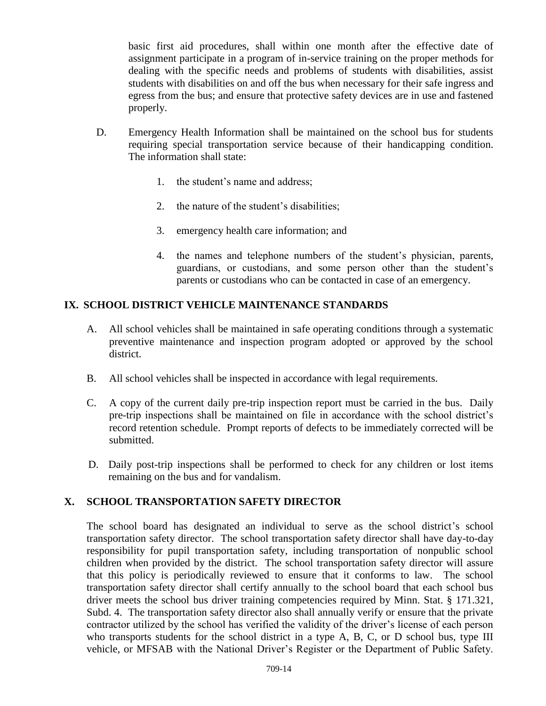basic first aid procedures, shall within one month after the effective date of assignment participate in a program of in-service training on the proper methods for dealing with the specific needs and problems of students with disabilities, assist students with disabilities on and off the bus when necessary for their safe ingress and egress from the bus; and ensure that protective safety devices are in use and fastened properly.

- D. Emergency Health Information shall be maintained on the school bus for students requiring special transportation service because of their handicapping condition. The information shall state:
	- 1. the student's name and address;
	- 2. the nature of the student's disabilities;
	- 3. emergency health care information; and
	- 4. the names and telephone numbers of the student's physician, parents, guardians, or custodians, and some person other than the student's parents or custodians who can be contacted in case of an emergency.

# **IX. SCHOOL DISTRICT VEHICLE MAINTENANCE STANDARDS**

- A. All school vehicles shall be maintained in safe operating conditions through a systematic preventive maintenance and inspection program adopted or approved by the school district.
- B. All school vehicles shall be inspected in accordance with legal requirements.
- C. A copy of the current daily pre-trip inspection report must be carried in the bus. Daily pre-trip inspections shall be maintained on file in accordance with the school district's record retention schedule. Prompt reports of defects to be immediately corrected will be submitted.
- D. Daily post-trip inspections shall be performed to check for any children or lost items remaining on the bus and for vandalism.

## **X. SCHOOL TRANSPORTATION SAFETY DIRECTOR**

The school board has designated an individual to serve as the school district's school transportation safety director. The school transportation safety director shall have day-to-day responsibility for pupil transportation safety, including transportation of nonpublic school children when provided by the district. The school transportation safety director will assure that this policy is periodically reviewed to ensure that it conforms to law. The school transportation safety director shall certify annually to the school board that each school bus driver meets the school bus driver training competencies required by Minn. Stat. § 171.321, Subd. 4. The transportation safety director also shall annually verify or ensure that the private contractor utilized by the school has verified the validity of the driver's license of each person who transports students for the school district in a type A, B, C, or D school bus, type III vehicle, or MFSAB with the National Driver's Register or the Department of Public Safety.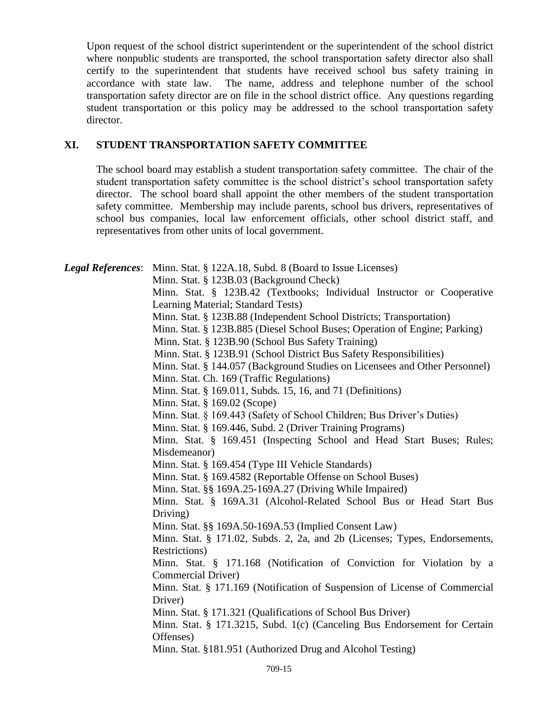Upon request of the school district superintendent or the superintendent of the school district where nonpublic students are transported, the school transportation safety director also shall certify to the superintendent that students have received school bus safety training in accordance with state law. The name, address and telephone number of the school transportation safety director are on file in the school district office. Any questions regarding student transportation or this policy may be addressed to the school transportation safety director.

### **XI. STUDENT TRANSPORTATION SAFETY COMMITTEE**

The school board may establish a student transportation safety committee. The chair of the student transportation safety committee is the school district's school transportation safety director. The school board shall appoint the other members of the student transportation safety committee. Membership may include parents, school bus drivers, representatives of school bus companies, local law enforcement officials, other school district staff, and representatives from other units of local government.

| <b>Legal References:</b> Minn. Stat. § 122A.18, Subd. 8 (Board to Issue Licenses) |  |
|-----------------------------------------------------------------------------------|--|
| Minn. Stat. § 123B.03 (Background Check)                                          |  |
| Minn. Stat. § 123B.42 (Textbooks; Individual Instructor or Cooperative            |  |
| Learning Material; Standard Tests)                                                |  |
| Minn. Stat. § 123B.88 (Independent School Districts; Transportation)              |  |
| Minn. Stat. § 123B.885 (Diesel School Buses; Operation of Engine; Parking)        |  |
| Minn. Stat. § 123B.90 (School Bus Safety Training)                                |  |
| Minn. Stat. § 123B.91 (School District Bus Safety Responsibilities)               |  |
| Minn. Stat. § 144.057 (Background Studies on Licensees and Other Personnel)       |  |
| Minn. Stat. Ch. 169 (Traffic Regulations)                                         |  |
| Minn. Stat. § 169.011, Subds. 15, 16, and 71 (Definitions)                        |  |
| Minn. Stat. § 169.02 (Scope)                                                      |  |
| Minn. Stat. § 169.443 (Safety of School Children; Bus Driver's Duties)            |  |
| Minn. Stat. § 169.446, Subd. 2 (Driver Training Programs)                         |  |
| Minn. Stat. § 169.451 (Inspecting School and Head Start Buses; Rules;             |  |
| Misdemeanor)                                                                      |  |
| Minn. Stat. § 169.454 (Type III Vehicle Standards)                                |  |
| Minn. Stat. § 169.4582 (Reportable Offense on School Buses)                       |  |
| Minn. Stat. §§ 169A.25-169A.27 (Driving While Impaired)                           |  |
| Minn. Stat. § 169A.31 (Alcohol-Related School Bus or Head Start Bus               |  |
| Driving)                                                                          |  |
| Minn. Stat. §§ 169A.50-169A.53 (Implied Consent Law)                              |  |
| Minn. Stat. § 171.02, Subds. 2, 2a, and 2b (Licenses; Types, Endorsements,        |  |
| Restrictions)                                                                     |  |
| Minn. Stat. § 171.168 (Notification of Conviction for Violation by a              |  |
| Commercial Driver)                                                                |  |
| Minn. Stat. § 171.169 (Notification of Suspension of License of Commercial        |  |
| Driver)                                                                           |  |
| Minn. Stat. § 171.321 (Qualifications of School Bus Driver)                       |  |
| Minn. Stat. § 171.3215, Subd. 1(c) (Canceling Bus Endorsement for Certain         |  |
| Offenses)                                                                         |  |
| Minn. Stat. §181.951 (Authorized Drug and Alcohol Testing)                        |  |
|                                                                                   |  |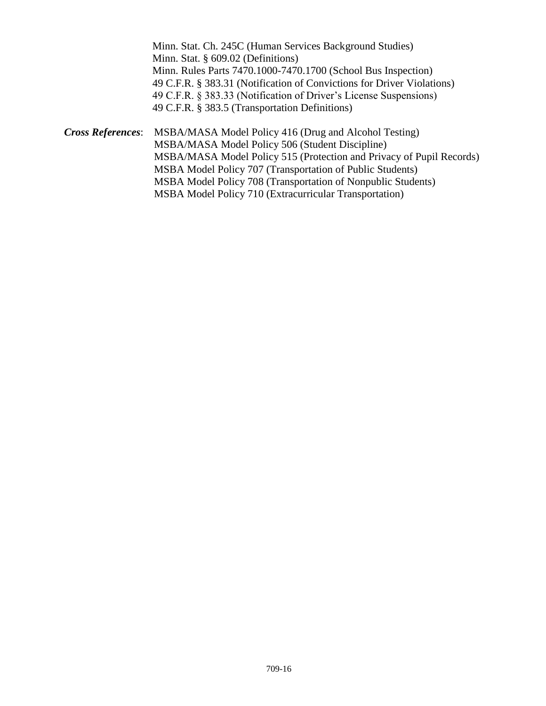|                          | Minn. Stat. Ch. 245C (Human Services Background Studies)               |
|--------------------------|------------------------------------------------------------------------|
|                          | Minn. Stat. $\S 609.02$ (Definitions)                                  |
|                          | Minn. Rules Parts 7470.1000-7470.1700 (School Bus Inspection)          |
|                          | 49 C.F.R. § 383.31 (Notification of Convictions for Driver Violations) |
|                          | 49 C.F.R. § 383.33 (Notification of Driver's License Suspensions)      |
|                          | 49 C.F.R. § 383.5 (Transportation Definitions)                         |
| <b>Cross References:</b> | MSBA/MASA Model Policy 416 (Drug and Alcohol Testing)                  |
|                          | MSBA/MASA Model Policy 506 (Student Discipline)                        |
|                          | MSBA/MASA Model Policy 515 (Protection and Privacy of Pupil Records)   |
|                          | MSBA Model Policy 707 (Transportation of Public Students)              |
|                          | MSBA Model Policy 708 (Transportation of Nonpublic Students)           |

MSBA Model Policy 710 (Extracurricular Transportation)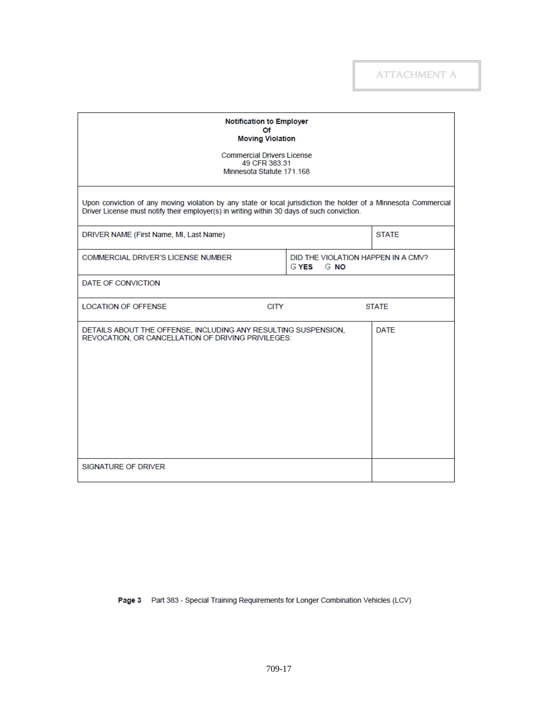| <b>Notification to Employer</b><br>Of<br><b>Moving Violation</b>                                                                                                                                              |                                                |              |  |
|---------------------------------------------------------------------------------------------------------------------------------------------------------------------------------------------------------------|------------------------------------------------|--------------|--|
| <b>Commercial Drivers License</b><br>49 CFR 383.31<br>Minnesota Statute 171.168                                                                                                                               |                                                |              |  |
| Upon conviction of any moving violation by any state or local jurisdiction the holder of a Minnesota Commercial<br>Driver License must notify their employer(s) in writing within 30 days of such conviction. |                                                |              |  |
| DRIVER NAME (First Name, MI, Last Name)                                                                                                                                                                       |                                                | <b>STATE</b> |  |
| <b>COMMERCIAL DRIVER'S LICENSE NUMBER</b>                                                                                                                                                                     | DID THE VIOLATION HAPPEN IN A CMV?<br>GYES GNO |              |  |
| DATE OF CONVICTION                                                                                                                                                                                            |                                                |              |  |
| <b>CITY</b><br><b>LOCATION OF OFFENSE</b>                                                                                                                                                                     |                                                | <b>STATE</b> |  |
| DETAILS ABOUT THE OFFENSE, INCLUDING ANY RESULTING SUSPENSION,<br>REVOCATION, OR CANCELLATION OF DRIVING PRIVILEGES:                                                                                          | <b>DATE</b>                                    |              |  |
| SIGNATURE OF DRIVER                                                                                                                                                                                           |                                                |              |  |

Page 3 Part 383 - Special Training Requirements for Longer Combination Vehicles (LCV)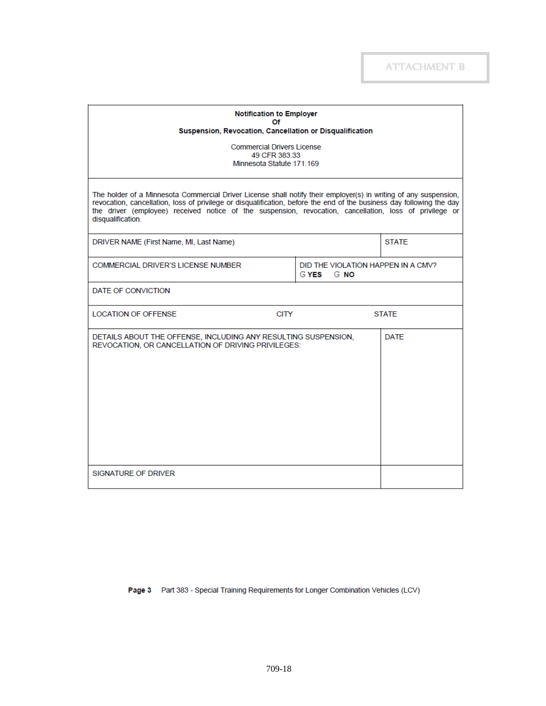| <b>Notification to Employer</b><br>Οf<br>Suspension, Revocation, Cancellation or Disqualification                                                                                                                                                                                                                                                                         |                                                |              |  |
|---------------------------------------------------------------------------------------------------------------------------------------------------------------------------------------------------------------------------------------------------------------------------------------------------------------------------------------------------------------------------|------------------------------------------------|--------------|--|
| <b>Commercial Drivers License</b><br>49 CFR 383.33<br>Minnesota Statute 171.169                                                                                                                                                                                                                                                                                           |                                                |              |  |
| The holder of a Minnesota Commercial Driver License shall notify their employer(s) in writing of any suspension,<br>revocation, cancellation, loss of privilege or disqualification, before the end of the business day following the day<br>the driver (employee) received notice of the suspension, revocation, cancellation, loss of privilege or<br>disqualification. |                                                |              |  |
| DRIVER NAME (First Name, MI, Last Name)                                                                                                                                                                                                                                                                                                                                   |                                                | <b>STATE</b> |  |
| <b>COMMERCIAL DRIVER'S LICENSE NUMBER</b>                                                                                                                                                                                                                                                                                                                                 | DID THE VIOLATION HAPPEN IN A CMV?<br>GYES GNO |              |  |
| DATE OF CONVICTION                                                                                                                                                                                                                                                                                                                                                        |                                                |              |  |
| <b>CITY</b><br><b>LOCATION OF OFFENSE</b>                                                                                                                                                                                                                                                                                                                                 |                                                | <b>STATF</b> |  |
| <b>DATE</b><br>DETAILS ABOUT THE OFFENSE, INCLUDING ANY RESULTING SUSPENSION,<br>REVOCATION, OR CANCELLATION OF DRIVING PRIVILEGES:                                                                                                                                                                                                                                       |                                                |              |  |
| <b>SIGNATURE OF DRIVER</b>                                                                                                                                                                                                                                                                                                                                                |                                                |              |  |

Page 3 Part 383 - Special Training Requirements for Longer Combination Vehicles (LCV)